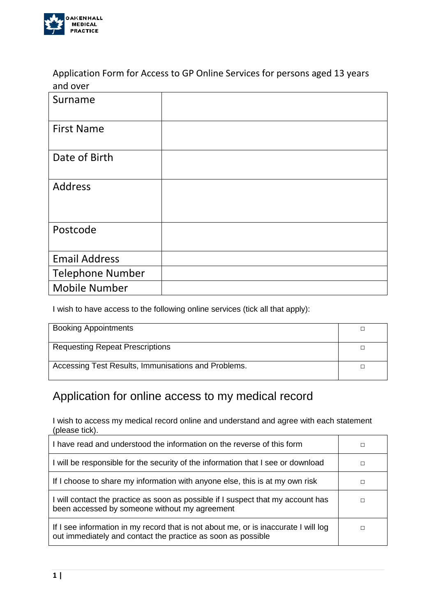

Application Form for Access to GP Online Services for persons aged 13 years and over

| Surname                 |  |
|-------------------------|--|
| <b>First Name</b>       |  |
| Date of Birth           |  |
| <b>Address</b>          |  |
| Postcode                |  |
| <b>Email Address</b>    |  |
| <b>Telephone Number</b> |  |
| <b>Mobile Number</b>    |  |

I wish to have access to the following online services (tick all that apply):

| <b>Booking Appointments</b>                         |  |
|-----------------------------------------------------|--|
| <b>Requesting Repeat Prescriptions</b>              |  |
| Accessing Test Results, Immunisations and Problems. |  |

# Application for online access to my medical record

I wish to access my medical record online and understand and agree with each statement (please tick).

| I have read and understood the information on the reverse of this form                                                                              |  |
|-----------------------------------------------------------------------------------------------------------------------------------------------------|--|
| I will be responsible for the security of the information that I see or download                                                                    |  |
| If I choose to share my information with anyone else, this is at my own risk                                                                        |  |
| I will contact the practice as soon as possible if I suspect that my account has<br>been accessed by someone without my agreement                   |  |
| If I see information in my record that is not about me, or is inaccurate I will log<br>out immediately and contact the practice as soon as possible |  |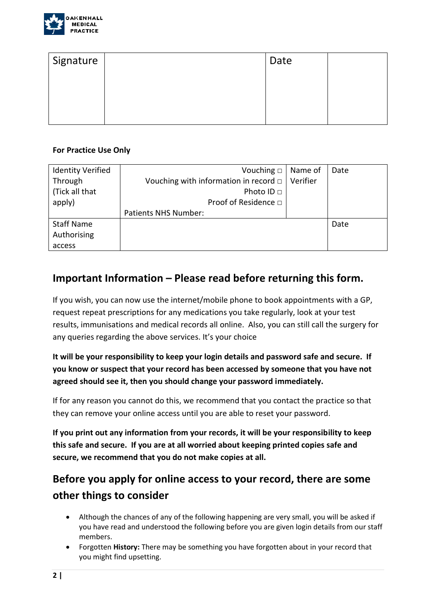

| Signature | Date |  |
|-----------|------|--|
|           |      |  |
|           |      |  |
|           |      |  |

### **For Practice Use Only**

| <b>Identity Verified</b> | Vouching $\square$                         | Name of  | Date |
|--------------------------|--------------------------------------------|----------|------|
| Through                  | Vouching with information in record $\Box$ | Verifier |      |
| (Tick all that           | Photo ID □                                 |          |      |
| apply)                   | Proof of Residence □                       |          |      |
|                          | Patients NHS Number:                       |          |      |
| <b>Staff Name</b>        |                                            |          | Date |
| Authorising              |                                            |          |      |
| access                   |                                            |          |      |

## **Important Information – Please read before returning this form.**

If you wish, you can now use the internet/mobile phone to book appointments with a GP, request repeat prescriptions for any medications you take regularly, look at your test results, immunisations and medical records all online. Also, you can still call the surgery for any queries regarding the above services. It's your choice

**It will be your responsibility to keep your login details and password safe and secure. If you know or suspect that your record has been accessed by someone that you have not agreed should see it, then you should change your password immediately.**

If for any reason you cannot do this, we recommend that you contact the practice so that they can remove your online access until you are able to reset your password.

**If you print out any information from your records, it will be your responsibility to keep this safe and secure. If you are at all worried about keeping printed copies safe and secure, we recommend that you do not make copies at all.**

## **Before you apply for online access to your record, there are some other things to consider**

- Although the chances of any of the following happening are very small, you will be asked if you have read and understood the following before you are given login details from our staff members.
- Forgotten **History:** There may be something you have forgotten about in your record that you might find upsetting.